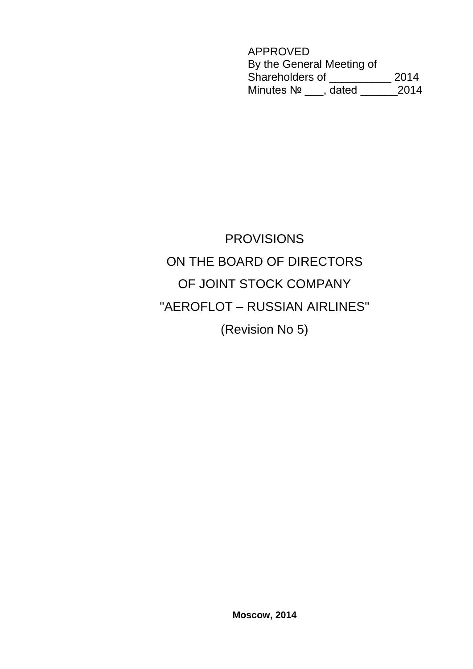APPROVED By the General Meeting of Shareholders of \_\_\_\_\_\_\_\_\_\_ 2014 Minutes № \_\_\_, dated \_\_\_\_\_\_2014

# **PROVISIONS** ON THE BOARD OF DIRECTORS OF JOINT STOCK COMPANY "AEROFLOT – RUSSIAN AIRLINES" (Revision No 5)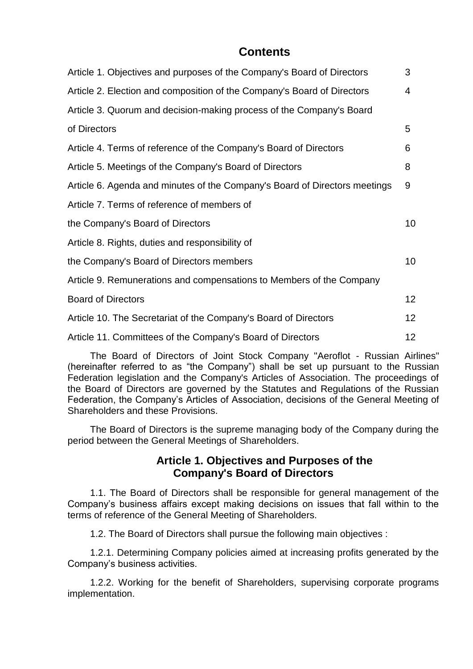# **Contents**

| Article 1. Objectives and purposes of the Company's Board of Directors     | 3               |
|----------------------------------------------------------------------------|-----------------|
| Article 2. Election and composition of the Company's Board of Directors    | $\overline{4}$  |
| Article 3. Quorum and decision-making process of the Company's Board       |                 |
| of Directors                                                               | 5               |
| Article 4. Terms of reference of the Company's Board of Directors          | 6               |
| Article 5. Meetings of the Company's Board of Directors                    | 8               |
| Article 6. Agenda and minutes of the Company's Board of Directors meetings | 9               |
| Article 7. Terms of reference of members of                                |                 |
| the Company's Board of Directors                                           | 10 <sup>°</sup> |
| Article 8. Rights, duties and responsibility of                            |                 |
| the Company's Board of Directors members                                   | 10 <sup>°</sup> |
| Article 9. Remunerations and compensations to Members of the Company       |                 |
| <b>Board of Directors</b>                                                  | 12 <sub>2</sub> |
| Article 10. The Secretariat of the Company's Board of Directors            | 12 <sub>2</sub> |
| Article 11. Committees of the Company's Board of Directors                 | 12 <sub>2</sub> |

The Board of Directors of Joint Stock Company "Aeroflot - Russian Airlines" (hereinafter referred to as "the Company") shall be set up pursuant to the Russian Federation legislation and the Company's Articles of Association. The proceedings of the Board of Directors are governed by the Statutes and Regulations of the Russian Federation, the Company's Articles of Association, decisions of the General Meeting of Shareholders and these Provisions.

The Board of Directors is the supreme managing body of the Company during the period between the General Meetings of Shareholders.

# **Article 1. Objectives and Purposes of the Company's Board of Directors**

1.1. The Board of Directors shall be responsible for general management of the Company's business affairs except making decisions on issues that fall within to the terms of reference of the General Meeting of Shareholders.

1.2. The Board of Directors shall pursue the following main objectives :

1.2.1. Determining Company policies aimed at increasing profits generated by the Company's business activities.

1.2.2. Working for the benefit of Shareholders, supervising corporate programs implementation.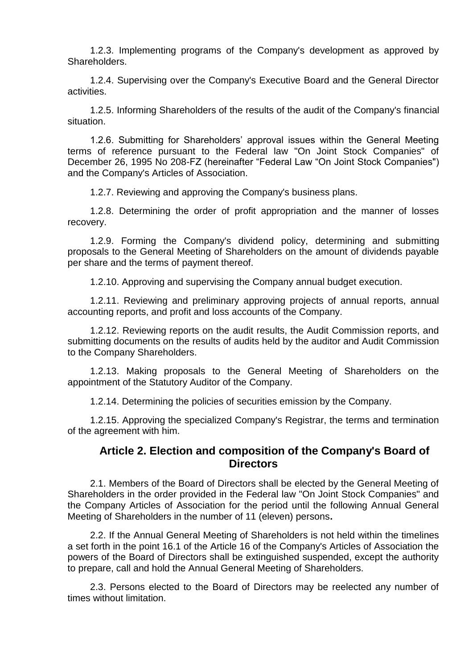1.2.3. Implementing programs of the Company's development as approved by Shareholders.

1.2.4. Supervising over the Company's Executive Board and the General Director activities.

1.2.5. Informing Shareholders of the results of the audit of the Company's financial situation.

1.2.6. Submitting for Shareholders' approval issues within the General Meeting terms of reference pursuant to the Federal law "On Joint Stock Companies" of December 26, 1995 No 208-FZ (hereinafter "Federal Law "On Joint Stock Companies") and the Company's Articles of Association.

1.2.7. Reviewing and approving the Company's business plans.

1.2.8. Determining the order of profit appropriation and the manner of losses recovery.

1.2.9. Forming the Company's dividend policy, determining and submitting proposals to the General Meeting of Shareholders on the amount of dividends payable per share and the terms of payment thereof.

1.2.10. Approving and supervising the Company annual budget execution.

1.2.11. Reviewing and preliminary approving projects of annual reports, annual accounting reports, and profit and loss accounts of the Company.

1.2.12. Reviewing reports on the audit results, the Audit Commission reports, and submitting documents on the results of audits held by the auditor and Audit Commission to the Company Shareholders.

1.2.13. Making proposals to the General Meeting of Shareholders on the appointment of the Statutory Auditor of the Company.

1.2.14. Determining the policies of securities emission by the Company.

1.2.15. Approving the specialized Company's Registrar, the terms and termination of the agreement with him.

#### **Article 2. Election and composition of the Company's Board of Directors**

2.1. Members of the Board of Directors shall be elected by the General Meeting of Shareholders in the order provided in the Federal law "On Joint Stock Companies" and the Company Articles of Association for the period until the following Annual General Meeting of Shareholders in the number of 11 (eleven) persons**.**

2.2. If the Annual General Meeting of Shareholders is not held within the timelines a set forth in the point 16.1 of the Article 16 of the Company's Articles of Association the powers of the Board of Directors shall be extinguished suspended, except the authority to prepare, call and hold the Annual General Meeting of Shareholders.

2.3. Persons elected to the Board of Directors may be reelected any number of times without limitation.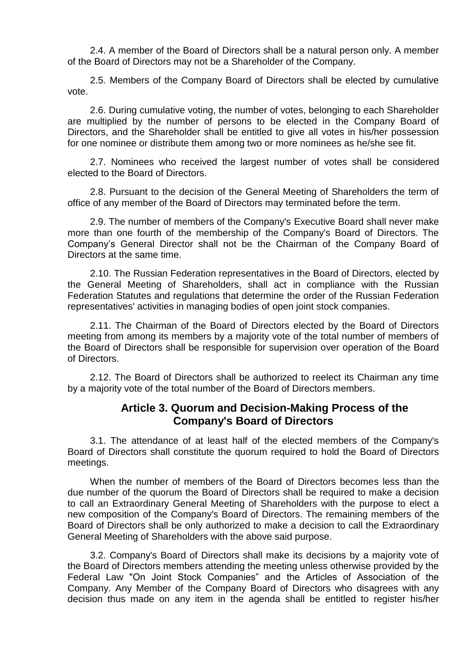2.4. A member of the Board of Directors shall be a natural person only. A member of the Board of Directors may not be a Shareholder of the Company.

2.5. Members of the Company Board of Directors shall be elected by cumulative vote.

2.6. During cumulative voting, the number of votes, belonging to each Shareholder are multiplied by the number of persons to be elected in the Company Board of Directors, and the Shareholder shall be entitled to give all votes in his/her possession for one nominee or distribute them among two or more nominees as he/she see fit.

2.7. Nominees who received the largest number of votes shall be considered elected to the Board of Directors.

2.8. Pursuant to the decision of the General Meeting of Shareholders the term of office of any member of the Board of Directors may terminated before the term.

2.9. The number of members of the Company's Executive Board shall never make more than one fourth of the membership of the Company's Board of Directors. The Company's General Director shall not be the Chairman of the Company Board of Directors at the same time.

2.10. The Russian Federation representatives in the Board of Directors, elected by the General Meeting of Shareholders, shall act in compliance with the Russian Federation Statutes and regulations that determine the order of the Russian Federation representatives' activities in managing bodies of open joint stock companies.

2.11. The Chairman of the Board of Directors elected by the Board of Directors meeting from among its members by a majority vote of the total number of members of the Board of Directors shall be responsible for supervision over operation of the Board of Directors.

2.12. The Board of Directors shall be authorized to reelect its Chairman any time by a majority vote of the total number of the Board of Directors members.

#### **Article 3. Quorum and Decision-Making Process of the Company's Board of Directors**

3.1. The attendance of at least half of the elected members of the Company's Board of Directors shall constitute the quorum required to hold the Board of Directors meetings.

When the number of members of the Board of Directors becomes less than the due number of the quorum the Board of Directors shall be required to make a decision to call an Extraordinary General Meeting of Shareholders with the purpose to elect a new composition of the Company's Board of Directors. The remaining members of the Board of Directors shall be only authorized to make a decision to call the Extraordinary General Meeting of Shareholders with the above said purpose.

3.2. Company's Board of Directors shall make its decisions by a majority vote of the Board of Directors members attending the meeting unless otherwise provided by the Federal Law "On Joint Stock Companies" and the Articles of Association of the Company. Any Member of the Company Board of Directors who disagrees with any decision thus made on any item in the agenda shall be entitled to register his/her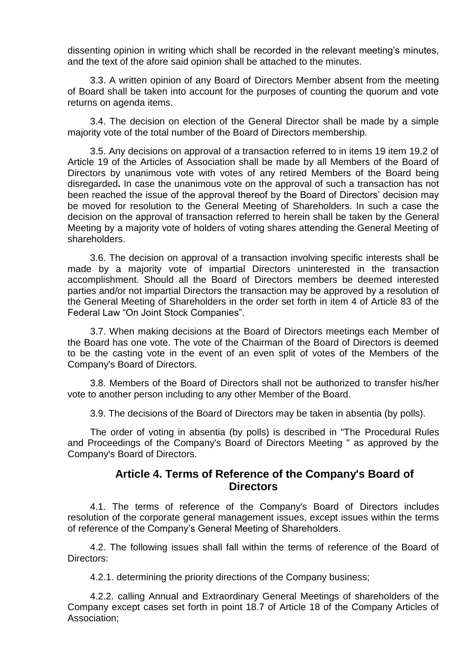dissenting opinion in writing which shall be recorded in the relevant meeting's minutes, and the text of the afore said opinion shall be attached to the minutes.

3.3. A written opinion of any Board of Directors Member absent from the meeting of Board shall be taken into account for the purposes of counting the quorum and vote returns on agenda items.

3.4. The decision on election of the General Director shall be made by a simple majority vote of the total number of the Board of Directors membership.

3.5. Any decisions on approval of a transaction referred to in items 19 item 19.2 of Article 19 of the Articles of Association shall be made by all Members of the Board of Directors by unanimous vote with votes of any retired Members of the Board being disregarded**.** In case the unanimous vote on the approval of such a transaction has not been reached the issue of the approval thereof by the Board of Directors' decision may be moved for resolution to the General Meeting of Shareholders. In such a case the decision on the approval of transaction referred to herein shall be taken by the General Meeting by a majority vote of holders of voting shares attending the General Meeting of shareholders.

3.6. The decision on approval of a transaction involving specific interests shall be made by a majority vote of impartial Directors uninterested in the transaction accomplishment. Should all the Board of Directors members be deemed interested parties and/or not impartial Directors the transaction may be approved by a resolution of the General Meeting of Shareholders in the order set forth in item 4 of Article 83 of the Federal Law "On Joint Stock Companies".

3.7. When making decisions at the Board of Directors meetings each Member of the Board has one vote. The vote of the Chairman of the Board of Directors is deemed to be the casting vote in the event of an even split of votes of the Members of the Company's Board of Directors.

3.8. Members of the Board of Directors shall not be authorized to transfer his/her vote to another person including to any other Member of the Board.

3.9. The decisions of the Board of Directors may be taken in absentia (by polls).

The order of voting in absentia (by polls) is described in "The Procedural Rules and Proceedings of the Company's Board of Directors Meeting " as approved by the Company's Board of Directors.

#### **Article 4. Terms of Reference of the Company's Board of Directors**

4.1. The terms of reference of the Company's Board of Directors includes resolution of the corporate general management issues, except issues within the terms of reference of the Company's General Meeting of Shareholders.

4.2. The following issues shall fall within the terms of reference of the Board of Directors:

4.2.1. determining the priority directions of the Company business;

4.2.2. calling Annual and Extraordinary General Meetings of shareholders of the Company except cases set forth in point 18.7 of Article 18 of the Company Articles of Association;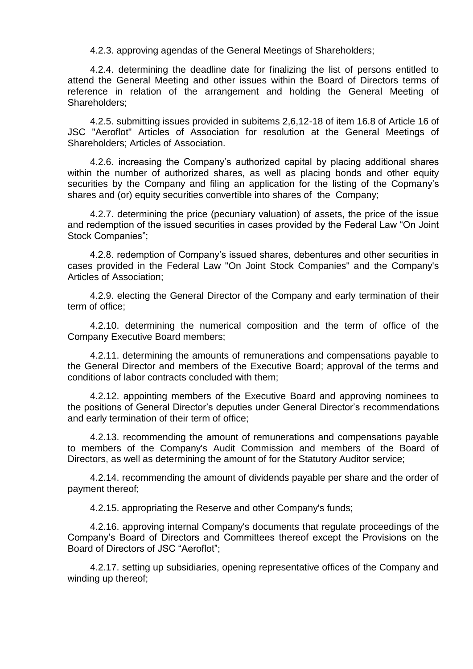4.2.3. approving agendas of the General Meetings of Shareholders;

4.2.4. determining the deadline date for finalizing the list of persons entitled to attend the General Meeting and other issues within the Board of Directors terms of reference in relation of the arrangement and holding the General Meeting of Shareholders;

4.2.5. submitting issues provided in subitems 2,6,12-18 of item 16.8 of Article 16 of JSC "Aeroflot" Articles of Association for resolution at the General Meetings of Shareholders; Articles of Association.

4.2.6. increasing the Company's authorized capital by placing additional shares within the number of authorized shares, as well as placing bonds and other equity securities by the Company and filing an application for the listing of the Copmany's shares and (or) equity securities convertible into shares of the Company;

4.2.7. determining the price (pecuniary valuation) of assets, the price of the issue and redemption of the issued securities in cases provided by the Federal Law "On Joint Stock Companies";

4.2.8. redemption of Company's issued shares, debentures and other securities in cases provided in the Federal Law "On Joint Stock Companies" and the Company's Articles of Association;

4.2.9. electing the General Director of the Company and early termination of their term of office;

4.2.10. determining the numerical composition and the term of office of the Company Executive Board members;

4.2.11. determining the amounts of remunerations and compensations payable to the General Director and members of the Executive Board; approval of the terms and conditions of labor contracts concluded with them;

4.2.12. appointing members of the Executive Board and approving nominees to the positions of General Director's deputies under General Director's recommendations and early termination of their term of office;

4.2.13. recommending the amount of remunerations and compensations payable to members of the Company's Audit Commission and members of the Board of Directors, as well as determining the amount of for the Statutory Auditor service;

4.2.14. recommending the amount of dividends payable per share and the order of payment thereof;

4.2.15. appropriating the Reserve and other Company's funds;

4.2.16. approving internal Company's documents that regulate proceedings of the Company's Board of Directors and Committees thereof except the Provisions on the Board of Directors of JSC "Aeroflot";

4.2.17. setting up subsidiaries, opening representative offices of the Company and winding up thereof;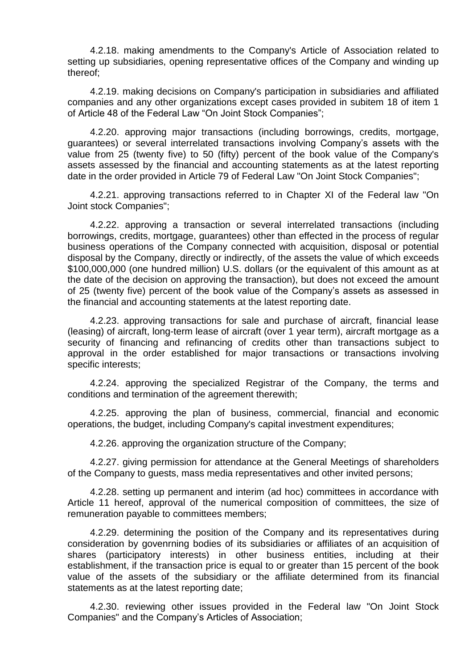4.2.18. making amendments to the Company's Article of Association related to setting up subsidiaries, opening representative offices of the Company and winding up thereof;

4.2.19. making decisions on Company's participation in subsidiaries and affiliated companies and any other organizations except cases provided in subitem 18 of item 1 of Article 48 of the Federal Law "On Joint Stock Companies";

4.2.20. approving major transactions (including borrowings, credits, mortgage, guarantees) or several interrelated transactions involving Company's assets with the value from 25 (twenty five) to 50 (fifty) percent of the book value of the Company's assets assessed by the financial and accounting statements as at the latest reporting date in the order provided in Article 79 of Federal Law "On Joint Stock Companies";

4.2.21. approving transactions referred to in Chapter XI of the Federal law "On Joint stock Companies";

4.2.22. approving a transaction or several interrelated transactions (including borrowings, credits, mortgage, guarantees) other than effected in the process of regular business operations of the Company connected with acquisition, disposal or potential disposal by the Company, directly or indirectly, of the assets the value of which exceeds \$100,000,000 (one hundred million) U.S. dollars (or the equivalent of this amount as at the date of the decision on approving the transaction), but does not exceed the amount of 25 (twenty five) percent of the book value of the Company's assets as assessed in the financial and accounting statements at the latest reporting date.

4.2.23. approving transactions for sale and purchase of aircraft, financial lease (leasing) of aircraft, long-term lease of aircraft (over 1 year term), aircraft mortgage as a security of financing and refinancing of credits other than transactions subject to approval in the order established for major transactions or transactions involving specific interests;

4.2.24. approving the specialized Registrar of the Company, the terms and conditions and termination of the agreement therewith;

4.2.25. approving the plan of business, commercial, financial and economic operations, the budget, including Company's capital investment expenditures;

4.2.26. approving the organization structure of the Company;

4.2.27. giving permission for attendance at the General Meetings of shareholders of the Company to guests, mass media representatives and other invited persons;

4.2.28. setting up permanent and interim (ad hoc) committees in accordance with Article 11 hereof, approval of the numerical composition of committees, the size of remuneration payable to committees members;

4.2.29. determining the position of the Company and its representatives during consideration by govenrning bodies of its subsidiaries or affiliates of an acquisition of shares (participatory interests) in other business entities, including at their establishment, if the transaction price is equal to or greater than 15 percent of the book value of the assets of the subsidiary or the affiliate determined from its financial statements as at the latest reporting date;

4.2.30. reviewing other issues provided in the Federal law "On Joint Stock Companies" and the Company's Articles of Association;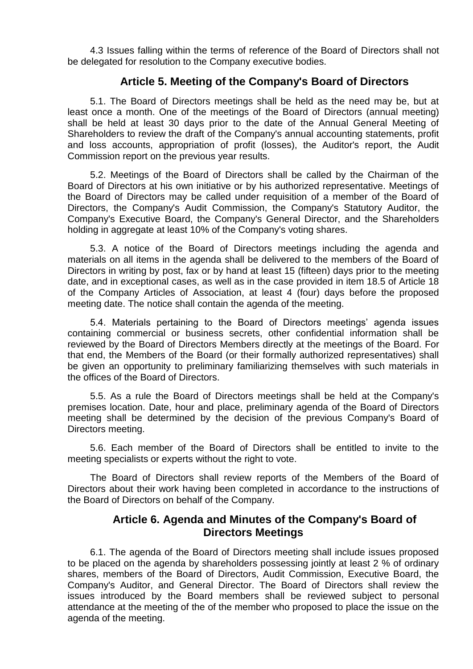4.3 Issues falling within the terms of reference of the Board of Directors shall not be delegated for resolution to the Company executive bodies.

# **Article 5. Meeting of the Company's Board of Directors**

5.1. The Board of Directors meetings shall be held as the need may be, but at least once a month. One of the meetings of the Board of Directors (annual meeting) shall be held at least 30 days prior to the date of the Annual General Meeting of Shareholders to review the draft of the Company's annual accounting statements, profit and loss accounts, appropriation of profit (losses), the Auditor's report, the Audit Commission report on the previous year results.

5.2. Meetings of the Board of Directors shall be called by the Chairman of the Board of Directors at his own initiative or by his authorized representative. Meetings of the Board of Directors may be called under requisition of a member of the Board of Directors, the Company's Audit Commission, the Company's Statutory Auditor, the Company's Executive Board, the Company's General Director, and the Shareholders holding in aggregate at least 10% of the Company's voting shares.

5.3. A notice of the Board of Directors meetings including the agenda and materials on all items in the agenda shall be delivered to the members of the Board of Directors in writing by post, fax or by hand at least 15 (fifteen) days prior to the meeting date, and in exceptional cases, as well as in the case provided in item 18.5 of Article 18 of the Company Articles of Association, at least 4 (four) days before the proposed meeting date. The notice shall contain the agenda of the meeting.

5.4. Materials pertaining to the Board of Directors meetings' agenda issues containing commercial or business secrets, other confidential information shall be reviewed by the Board of Directors Members directly at the meetings of the Board. For that end, the Members of the Board (or their formally authorized representatives) shall be given an opportunity to preliminary familiarizing themselves with such materials in the offices of the Board of Directors.

5.5. As a rule the Board of Directors meetings shall be held at the Company's premises location. Date, hour and place, preliminary agenda of the Board of Directors meeting shall be determined by the decision of the previous Company's Board of Directors meeting.

5.6. Each member of the Board of Directors shall be entitled to invite to the meeting specialists or experts without the right to vote.

The Board of Directors shall review reports of the Members of the Board of Directors about their work having been completed in accordance to the instructions of the Board of Directors on behalf of the Company.

#### **Article 6. Agenda and Minutes of the Company's Board of Directors Meetings**

6.1. The agenda of the Board of Directors meeting shall include issues proposed to be placed on the agenda by shareholders possessing jointly at least 2 % of ordinary shares, members of the Board of Directors, Audit Commission, Executive Board, the Company's Auditor, and General Director. The Board of Directors shall review the issues introduced by the Board members shall be reviewed subject to personal attendance at the meeting of the of the member who proposed to place the issue on the agenda of the meeting.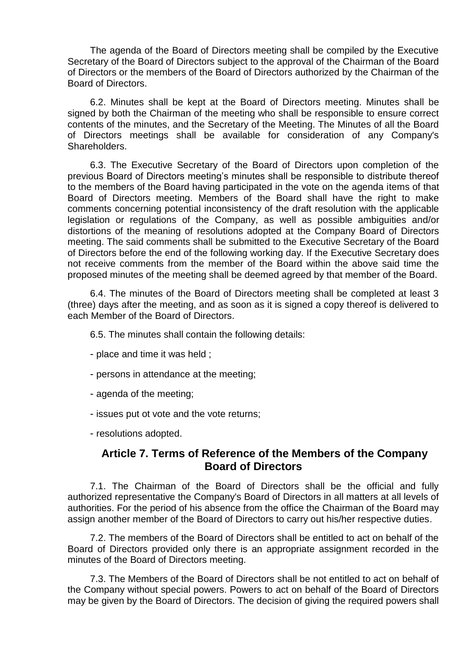The agenda of the Board of Directors meeting shall be compiled by the Executive Secretary of the Board of Directors subject to the approval of the Chairman of the Board of Directors or the members of the Board of Directors authorized by the Chairman of the Board of Directors.

6.2. Minutes shall be kept at the Board of Directors meeting. Minutes shall be signed by both the Chairman of the meeting who shall be responsible to ensure correct contents of the minutes, and the Secretary of the Meeting. The Minutes of all the Board of Directors meetings shall be available for consideration of any Company's Shareholders.

6.3. The Executive Secretary of the Board of Directors upon completion of the previous Board of Directors meeting's minutes shall be responsible to distribute thereof to the members of the Board having participated in the vote on the agenda items of that Board of Directors meeting. Members of the Board shall have the right to make comments concerning potential inconsistency of the draft resolution with the applicable legislation or regulations of the Company, as well as possible ambiguities and/or distortions of the meaning of resolutions adopted at the Company Board of Directors meeting. The said comments shall be submitted to the Executive Secretary of the Board of Directors before the end of the following working day. If the Executive Secretary does not receive comments from the member of the Board within the above said time the proposed minutes of the meeting shall be deemed agreed by that member of the Board.

6.4. The minutes of the Board of Directors meeting shall be completed at least 3 (three) days after the meeting, and as soon as it is signed a copy thereof is delivered to each Member of the Board of Directors.

6.5. The minutes shall contain the following details:

- place and time it was held ;
- persons in attendance at the meeting;
- agenda of the meeting;
- issues put ot vote and the vote returns;
- resolutions adopted.

#### **Article 7. Terms of Reference of the Members of the Company Board of Directors**

7.1. The Chairman of the Board of Directors shall be the official and fully authorized representative the Company's Board of Directors in all matters at all levels of authorities. For the period of his absence from the office the Chairman of the Board may assign another member of the Board of Directors to carry out his/her respective duties.

7.2. The members of the Board of Directors shall be entitled to act on behalf of the Board of Directors provided only there is an appropriate assignment recorded in the minutes of the Board of Directors meeting.

7.3. The Members of the Board of Directors shall be not entitled to act on behalf of the Company without special powers. Powers to act on behalf of the Board of Directors may be given by the Board of Directors. The decision of giving the required powers shall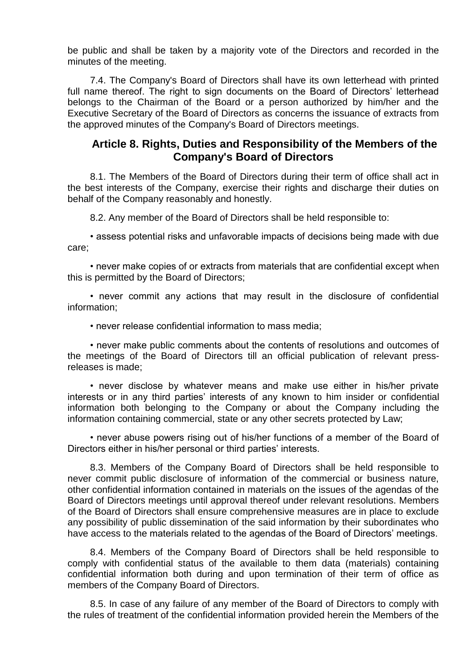be public and shall be taken by a majority vote of the Directors and recorded in the minutes of the meeting.

7.4. The Company's Board of Directors shall have its own letterhead with printed full name thereof. The right to sign documents on the Board of Directors' letterhead belongs to the Chairman of the Board or a person authorized by him/her and the Executive Secretary of the Board of Directors as concerns the issuance of extracts from the approved minutes of the Company's Board of Directors meetings.

#### **Article 8. Rights, Duties and Responsibility of the Members of the Company's Board of Directors**

8.1. The Members of the Board of Directors during their term of office shall act in the best interests of the Company, exercise their rights and discharge their duties on behalf of the Company reasonably and honestly.

8.2. Any member of the Board of Directors shall be held responsible to:

• assess potential risks and unfavorable impacts of decisions being made with due care;

• never make copies of or extracts from materials that are confidential except when this is permitted by the Board of Directors;

• never commit any actions that may result in the disclosure of confidential information;

• never release confidential information to mass media;

• never make public comments about the contents of resolutions and outcomes of the meetings of the Board of Directors till an official publication of relevant pressreleases is made;

• never disclose by whatever means and make use either in his/her private interests or in any third parties' interests of any known to him insider or confidential information both belonging to the Company or about the Company including the information containing commercial, state or any other secrets protected by Law;

• never abuse powers rising out of his/her functions of a member of the Board of Directors either in his/her personal or third parties' interests.

8.3. Members of the Company Board of Directors shall be held responsible to never commit public disclosure of information of the commercial or business nature, other confidential information contained in materials on the issues of the agendas of the Board of Directors meetings until approval thereof under relevant resolutions. Members of the Board of Directors shall ensure comprehensive measures are in place to exclude any possibility of public dissemination of the said information by their subordinates who have access to the materials related to the agendas of the Board of Directors' meetings.

8.4. Members of the Company Board of Directors shall be held responsible to comply with confidential status of the available to them data (materials) containing confidential information both during and upon termination of their term of office as members of the Company Board of Directors.

8.5. In case of any failure of any member of the Board of Directors to comply with the rules of treatment of the confidential information provided herein the Members of the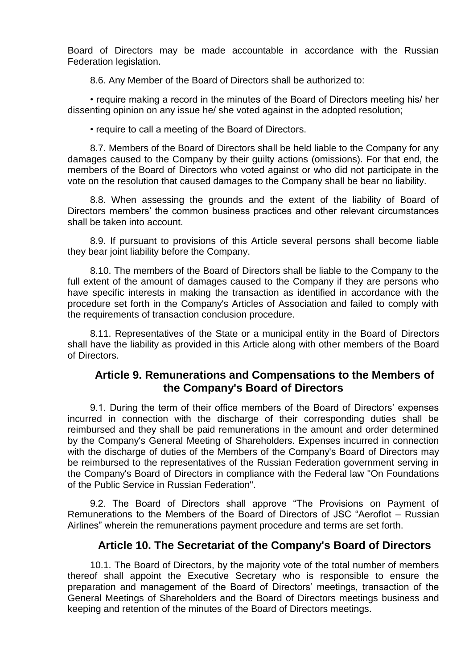Board of Directors may be made accountable in accordance with the Russian Federation legislation.

8.6. Any Member of the Board of Directors shall be authorized to:

• require making a record in the minutes of the Board of Directors meeting his/ her dissenting opinion on any issue he/ she voted against in the adopted resolution;

• require to call a meeting of the Board of Directors.

8.7. Members of the Board of Directors shall be held liable to the Company for any damages caused to the Company by their guilty actions (omissions). For that end, the members of the Board of Directors who voted against or who did not participate in the vote on the resolution that caused damages to the Company shall be bear no liability.

8.8. When assessing the grounds and the extent of the liability of Board of Directors members' the common business practices and other relevant circumstances shall be taken into account.

8.9. If pursuant to provisions of this Article several persons shall become liable they bear joint liability before the Company.

8.10. The members of the Board of Directors shall be liable to the Company to the full extent of the amount of damages caused to the Company if they are persons who have specific interests in making the transaction as identified in accordance with the procedure set forth in the Company's Articles of Association and failed to comply with the requirements of transaction conclusion procedure.

8.11. Representatives of the State or a municipal entity in the Board of Directors shall have the liability as provided in this Article along with other members of the Board of Directors.

# **Article 9. Remunerations and Compensations to the Members of the Company's Board of Directors**

9.1. During the term of their office members of the Board of Directors' expenses incurred in connection with the discharge of their corresponding duties shall be reimbursed and they shall be paid remunerations in the amount and order determined by the Company's General Meeting of Shareholders. Expenses incurred in connection with the discharge of duties of the Members of the Company's Board of Directors may be reimbursed to the representatives of the Russian Federation government serving in the Company's Board of Directors in compliance with the Federal law "On Foundations of the Public Service in Russian Federation".

9.2. The Board of Directors shall approve "The Provisions on Payment of Remunerations to the Members of the Board of Directors of JSC "Aeroflot – Russian Airlines" wherein the remunerations payment procedure and terms are set forth.

# **Article 10. The Secretariat of the Company's Board of Directors**

10.1. The Board of Directors, by the majority vote of the total number of members thereof shall appoint the Executive Secretary who is responsible to ensure the preparation and management of the Board of Directors' meetings, transaction of the General Meetings of Shareholders and the Board of Directors meetings business and keeping and retention of the minutes of the Board of Directors meetings.